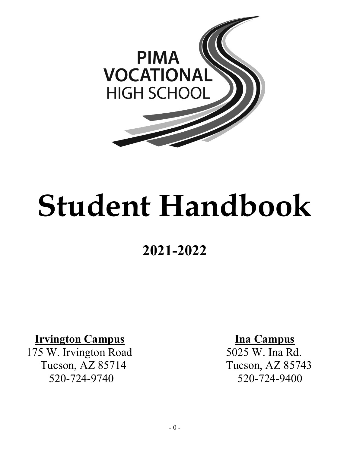

# Student Handbook

## 2021-2022

## Irvington Campus **Ina Campus**

175 W. Irvington Road 5025 W. Ina Rd. Tucson, AZ 85714 Tucson, AZ 85743 520-724-9740 520-724-9400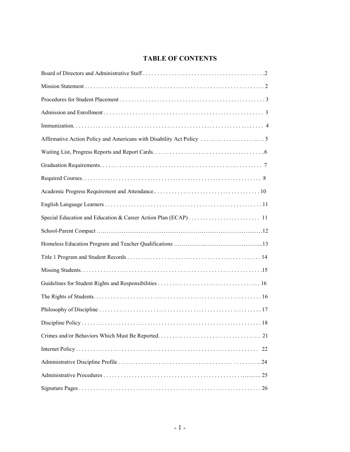#### TABLE OF CONTENTS

| Special Education and Education & Career Action Plan (ECAP)  11 |
|-----------------------------------------------------------------|
|                                                                 |
|                                                                 |
|                                                                 |
|                                                                 |
|                                                                 |
|                                                                 |
|                                                                 |
|                                                                 |
|                                                                 |
|                                                                 |
| 22                                                              |
|                                                                 |
|                                                                 |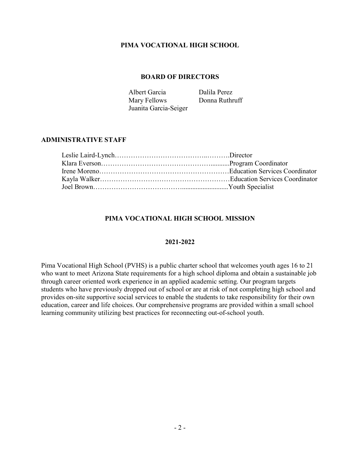#### PIMA VOCATIONAL HIGH SCHOOL

#### BOARD OF DIRECTORS

 Albert Garcia Dalila Perez Mary Fellows Donna Ruthruff Juanita Garcia-Seiger

#### ADMINISTRATIVE STAFF

#### PIMA VOCATIONAL HIGH SCHOOL MISSION

#### 2021-2022

Pima Vocational High School (PVHS) is a public charter school that welcomes youth ages 16 to 21 who want to meet Arizona State requirements for a high school diploma and obtain a sustainable job through career oriented work experience in an applied academic setting. Our program targets students who have previously dropped out of school or are at risk of not completing high school and provides on-site supportive social services to enable the students to take responsibility for their own education, career and life choices. Our comprehensive programs are provided within a small school learning community utilizing best practices for reconnecting out-of-school youth.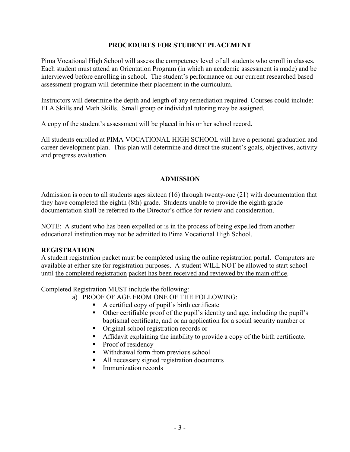#### PROCEDURES FOR STUDENT PLACEMENT

Pima Vocational High School will assess the competency level of all students who enroll in classes. Each student must attend an Orientation Program (in which an academic assessment is made) and be interviewed before enrolling in school. The student's performance on our current researched based assessment program will determine their placement in the curriculum.

Instructors will determine the depth and length of any remediation required. Courses could include: ELA Skills and Math Skills. Small group or individual tutoring may be assigned.

A copy of the student's assessment will be placed in his or her school record.

All students enrolled at PIMA VOCATIONAL HIGH SCHOOL will have a personal graduation and career development plan. This plan will determine and direct the student's goals, objectives, activity and progress evaluation.

#### ADMISSION

Admission is open to all students ages sixteen (16) through twenty-one (21) with documentation that they have completed the eighth (8th) grade. Students unable to provide the eighth grade documentation shall be referred to the Director's office for review and consideration.

NOTE: A student who has been expelled or is in the process of being expelled from another educational institution may not be admitted to Pima Vocational High School.

#### REGISTRATION

A student registration packet must be completed using the online registration portal. Computers are available at either site for registration purposes. A student WILL NOT be allowed to start school until the completed registration packet has been received and reviewed by the main office.

Completed Registration MUST include the following:

- a) PROOF OF AGE FROM ONE OF THE FOLLOWING:
	- A certified copy of pupil's birth certificate
	- Other certifiable proof of the pupil's identity and age, including the pupil's baptismal certificate, and or an application for a social security number or
	- Original school registration records or
	- Affidavit explaining the inability to provide a copy of the birth certificate.
	- Proof of residency
	- **Withdrawal form from previous school**
	- All necessary signed registration documents
	- **Immunization records**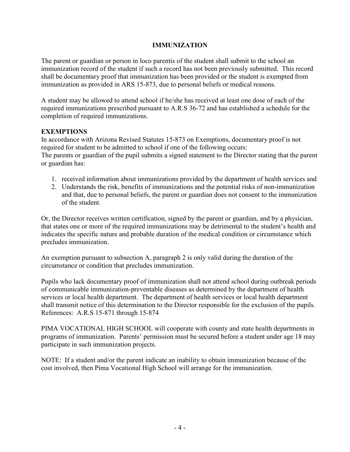#### IMMUNIZATION

The parent or guardian or person in loco parentis of the student shall submit to the school an immunization record of the student if such a record has not been previously submitted. This record shall be documentary proof that immunization has been provided or the student is exempted from immunization as provided in ARS 15-873, due to personal beliefs or medical reasons.

A student may be allowed to attend school if he/she has received at least one dose of each of the required immunizations prescribed pursuant to A.R.S 36-72 and has established a schedule for the completion of required immunizations.

#### EXEMPTIONS

In accordance with Arizona Revised Statutes 15-873 on Exemptions, documentary proof is not required for student to be admitted to school if one of the following occurs: The parents or guardian of the pupil submits a signed statement to the Director stating that the parent or guardian has:

- 1. received information about immunizations provided by the department of health services and
- 2. Understands the risk, benefits of immunizations and the potential risks of non-immunization and that, due to personal beliefs, the parent or guardian does not consent to the immunization of the student.

Or, the Director receives written certification, signed by the parent or guardian, and by a physician, that states one or more of the required immunizations may be detrimental to the student's health and indicates the specific nature and probable duration of the medical condition or circumstance which precludes immunization.

An exemption pursuant to subsection A, paragraph 2 is only valid during the duration of the circumstance or condition that precludes immunization.

Pupils who lack documentary proof of immunization shall not attend school during outbreak periods of communicable immunization-preventable diseases as determined by the department of health services or local health department. The department of health services or local health department shall transmit notice of this determination to the Director responsible for the exclusion of the pupils. References: A.R.S 15-871 through 15-874

PIMA VOCATIONAL HIGH SCHOOL will cooperate with county and state health departments in programs of immunization. Parents' permission must be secured before a student under age 18 may participate in such immunization projects.

NOTE: If a student and/or the parent indicate an inability to obtain immunization because of the cost involved, then Pima Vocational High School will arrange for the immunization.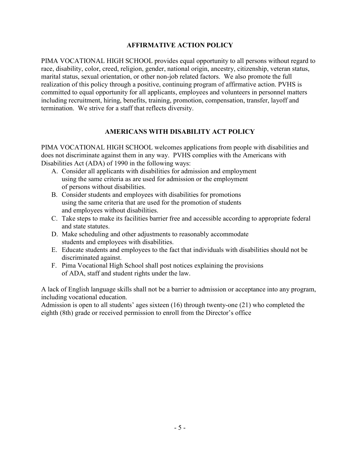#### AFFIRMATIVE ACTION POLICY

PIMA VOCATIONAL HIGH SCHOOL provides equal opportunity to all persons without regard to race, disability, color, creed, religion, gender, national origin, ancestry, citizenship, veteran status, marital status, sexual orientation, or other non-job related factors. We also promote the full realization of this policy through a positive, continuing program of affirmative action. PVHS is committed to equal opportunity for all applicants, employees and volunteers in personnel matters including recruitment, hiring, benefits, training, promotion, compensation, transfer, layoff and termination. We strive for a staff that reflects diversity.

#### AMERICANS WITH DISABILITY ACT POLICY

PIMA VOCATIONAL HIGH SCHOOL welcomes applications from people with disabilities and does not discriminate against them in any way. PVHS complies with the Americans with Disabilities Act (ADA) of 1990 in the following ways:

- A. Consider all applicants with disabilities for admission and employment using the same criteria as are used for admission or the employment of persons without disabilities.
- B. Consider students and employees with disabilities for promotions using the same criteria that are used for the promotion of students and employees without disabilities.
- C. Take steps to make its facilities barrier free and accessible according to appropriate federal and state statutes.
- D. Make scheduling and other adjustments to reasonably accommodate students and employees with disabilities.
- E. Educate students and employees to the fact that individuals with disabilities should not be discriminated against.
- F. Pima Vocational High School shall post notices explaining the provisions of ADA, staff and student rights under the law.

A lack of English language skills shall not be a barrier to admission or acceptance into any program, including vocational education.

Admission is open to all students' ages sixteen (16) through twenty-one (21) who completed the eighth (8th) grade or received permission to enroll from the Director's office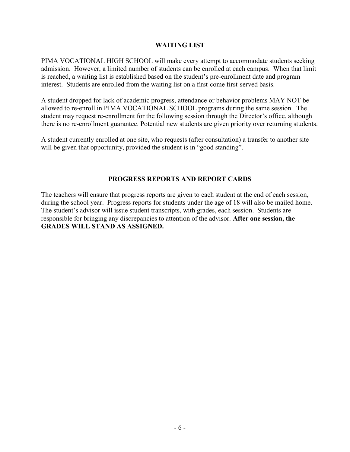#### WAITING LIST

PIMA VOCATIONAL HIGH SCHOOL will make every attempt to accommodate students seeking admission. However, a limited number of students can be enrolled at each campus. When that limit is reached, a waiting list is established based on the student's pre-enrollment date and program interest. Students are enrolled from the waiting list on a first-come first-served basis.

A student dropped for lack of academic progress, attendance or behavior problems MAY NOT be allowed to re-enroll in PIMA VOCATIONAL SCHOOL programs during the same session. The student may request re-enrollment for the following session through the Director's office, although there is no re-enrollment guarantee. Potential new students are given priority over returning students.

A student currently enrolled at one site, who requests (after consultation) a transfer to another site will be given that opportunity, provided the student is in "good standing".

#### PROGRESS REPORTS AND REPORT CARDS

The teachers will ensure that progress reports are given to each student at the end of each session, during the school year. Progress reports for students under the age of 18 will also be mailed home. The student's advisor will issue student transcripts, with grades, each session. Students are responsible for bringing any discrepancies to attention of the advisor. After one session, the GRADES WILL STAND AS ASSIGNED.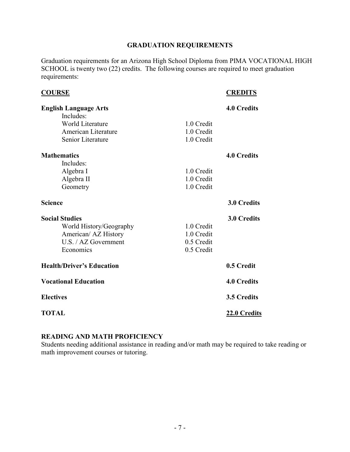#### GRADUATION REQUIREMENTS

Graduation requirements for an Arizona High School Diploma from PIMA VOCATIONAL HIGH SCHOOL is twenty two (22) credits. The following courses are required to meet graduation requirements:

## English Language Arts 4.0 Credits Includes: World Literature 1.0 Credit American Literature 1.0 Credit Senior Literature 1.0 Credit Mathematics 4.0 Credits Includes: Algebra I 1.0 Credit Algebra II 1.0 Credit Geometry 1.0 Credit Science 3.0 Credits Social Studies 3.0 Credits World History/Geography 1.0 Credit American/ AZ History 1.0 Credit U.S. / AZ Government 0.5 Credit Economics 0.5 Credit Health/Driver's Education 0.5 Credit Vocational Education 4.0 Credits Electives 3.5 Credits TOTAL 22.0 Credits

COURSE CREDITS

#### READING AND MATH PROFICIENCY

Students needing additional assistance in reading and/or math may be required to take reading or math improvement courses or tutoring.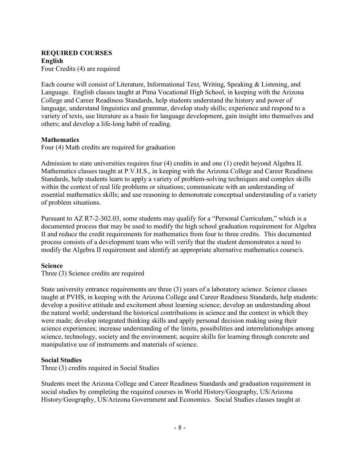#### REQUIRED COURSES English Four Credits (4) are required

Each course will consist of Literature, Informational Text, Writing, Speaking & Listening, and Language. English classes taught at Pima Vocational High School, in keeping with the Arizona College and Career Readiness Standards, help students understand the history and power of language, understand linguistics and grammar, develop study skills; experience and respond to a variety of texts, use literature as a basis for language development, gain insight into themselves and others; and develop a life-long habit of reading.

#### **Mathematics**

Four (4) Math credits are required for graduation

Admission to state universities requires four (4) credits in and one (1) credit beyond Algebra II. Mathematics classes taught at P.V.H.S., in keeping with the Arizona College and Career Readiness Standards, help students learn to apply a variety of problem-solving techniques and complex skills within the context of real life problems or situations; communicate with an understanding of essential mathematics skills; and use reasoning to demonstrate conceptual understanding of a variety of problem situations.

Pursuant to AZ R7-2-302.03, some students may qualify for a "Personal Curriculum," which is a documented process that may be used to modify the high school graduation requirement for Algebra II and reduce the credit requirements for mathematics from four to three credits. This documented process consists of a development team who will verify that the student demonstrates a need to modify the Algebra II requirement and identify an appropriate alternative mathematics course/s.

#### Science

Three (3) Science credits are required

State university entrance requirements are three (3) years of a laboratory science. Science classes taught at PVHS, in keeping with the Arizona College and Career Readiness Standards, help students: develop a positive attitude and excitement about learning science; develop an understanding about the natural world; understand the historical contributions in science and the context in which they were made; develop integrated thinking skills and apply personal decision making using their science experiences; increase understanding of the limits, possibilities and interrelationships among science, technology, society and the environment; acquire skills for learning through concrete and manipulative use of instruments and materials of science.

#### Social Studies

Three (3) credits required in Social Studies

Students meet the Arizona College and Career Readiness Standards and graduation requirement in social studies by completing the required courses in World History/Geography, US/Arizona History/Geography, US/Arizona Government and Economics. Social Studies classes taught at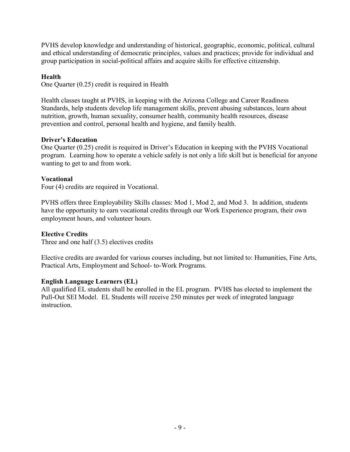PVHS develop knowledge and understanding of historical, geographic, economic, political, cultural and ethical understanding of democratic principles, values and practices; provide for individual and group participation in social-political affairs and acquire skills for effective citizenship.

#### Health

One Quarter (0.25) credit is required in Health

Health classes taught at PVHS, in keeping with the Arizona College and Career Readiness Standards, help students develop life management skills, prevent abusing substances, learn about nutrition, growth, human sexuality, consumer health, community health resources, disease prevention and control, personal health and hygiene, and family health.

#### Driver's Education

One Quarter (0.25) credit is required in Driver's Education in keeping with the PVHS Vocational program. Learning how to operate a vehicle safely is not only a life skill but is beneficial for anyone wanting to get to and from work.

#### Vocational

Four (4) credits are required in Vocational.

PVHS offers three Employability Skills classes: Mod 1, Mod 2, and Mod 3. In addition, students have the opportunity to earn vocational credits through our Work Experience program, their own employment hours, and volunteer hours.

#### Elective Credits

Three and one half (3.5) electives credits

Elective credits are awarded for various courses including, but not limited to: Humanities, Fine Arts, Practical Arts, Employment and School- to-Work Programs.

#### English Language Learners (EL)

All qualified EL students shall be enrolled in the EL program. PVHS has elected to implement the Pull-Out SEI Model. EL Students will receive 250 minutes per week of integrated language instruction.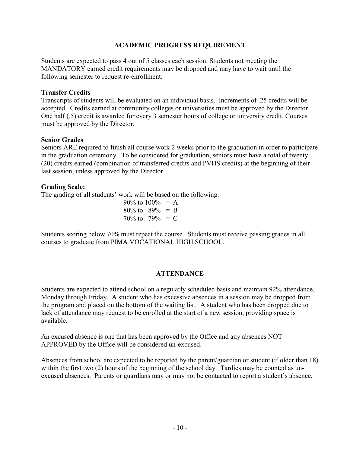#### ACADEMIC PROGRESS REQUIREMENT

Students are expected to pass 4 out of 5 classes each session. Students not meeting the MANDATORY earned credit requirements may be dropped and may have to wait until the following semester to request re-enrollment.

#### Transfer Credits

Transcripts of students will be evaluated on an individual basis. Increments of .25 credits will be accepted. Credits earned at community colleges or universities must be approved by the Director. One half (.5) credit is awarded for every 3 semester hours of college or university credit. Courses must be approved by the Director.

#### Senior Grades

Seniors ARE required to finish all course work 2 weeks prior to the graduation in order to participate in the graduation ceremony. To be considered for graduation, seniors must have a total of twenty (20) credits earned (combination of transferred credits and PVHS credits) at the beginning of their last session, unless approved by the Director.

#### Grading Scale:

The grading of all students' work will be based on the following:

90% to  $100% = A$  $80\%$  to  $89\% = B$  $70\%$  to  $79\% = C$ 

Students scoring below 70% must repeat the course. Students must receive passing grades in all courses to graduate from PIMA VOCATIONAL HIGH SCHOOL.

#### **ATTENDANCE**

Students are expected to attend school on a regularly scheduled basis and maintain 92% attendance, Monday through Friday. A student who has excessive absences in a session may be dropped from the program and placed on the bottom of the waiting list. A student who has been dropped due to lack of attendance may request to be enrolled at the start of a new session, providing space is available.

An excused absence is one that has been approved by the Office and any absences NOT APPROVED by the Office will be considered un-excused.

Absences from school are expected to be reported by the parent/guardian or student (if older than 18) within the first two (2) hours of the beginning of the school day. Tardies may be counted as unexcused absences. Parents or guardians may or may not be contacted to report a student's absence.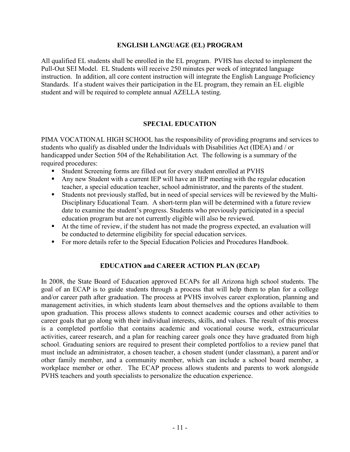#### ENGLISH LANGUAGE (EL) PROGRAM

All qualified EL students shall be enrolled in the EL program. PVHS has elected to implement the Pull-Out SEI Model. EL Students will receive 250 minutes per week of integrated language instruction. In addition, all core content instruction will integrate the English Language Proficiency Standards. If a student waives their participation in the EL program, they remain an EL eligible student and will be required to complete annual AZELLA testing.

#### SPECIAL EDUCATION

PIMA VOCATIONAL HIGH SCHOOL has the responsibility of providing programs and services to students who qualify as disabled under the Individuals with Disabilities Act (IDEA) and / or handicapped under Section 504 of the Rehabilitation Act. The following is a summary of the required procedures:

- Student Screening forms are filled out for every student enrolled at PVHS
- Any new Student with a current IEP will have an IEP meeting with the regular education teacher, a special education teacher, school administrator, and the parents of the student.
- Students not previously staffed, but in need of special services will be reviewed by the Multi-Disciplinary Educational Team. A short-term plan will be determined with a future review date to examine the student's progress. Students who previously participated in a special education program but are not currently eligible will also be reviewed.
- At the time of review, if the student has not made the progress expected, an evaluation will be conducted to determine eligibility for special education services.
- For more details refer to the Special Education Policies and Procedures Handbook.

#### EDUCATION and CAREER ACTION PLAN (ECAP)

In 2008, the State Board of Education approved ECAPs for all Arizona high school students. The goal of an ECAP is to guide students through a process that will help them to plan for a college and/or career path after graduation. The process at PVHS involves career exploration, planning and management activities, in which students learn about themselves and the options available to them upon graduation. This process allows students to connect academic courses and other activities to career goals that go along with their individual interests, skills, and values. The result of this process is a completed portfolio that contains academic and vocational course work, extracurricular activities, career research, and a plan for reaching career goals once they have graduated from high school. Graduating seniors are required to present their completed portfolios to a review panel that must include an administrator, a chosen teacher, a chosen student (under classman), a parent and/or other family member, and a community member, which can include a school board member, a workplace member or other. The ECAP process allows students and parents to work alongside PVHS teachers and youth specialists to personalize the education experience.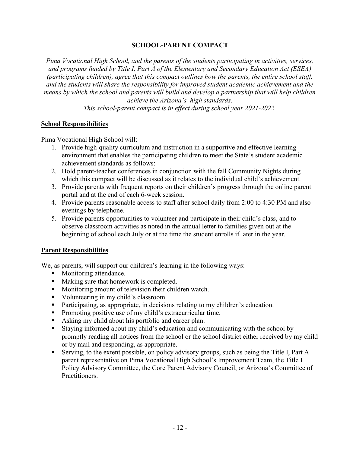#### SCHOOL-PARENT COMPACT

Pima Vocational High School, and the parents of the students participating in activities, services, and programs funded by Title I, Part A of the Elementary and Secondary Education Act (ESEA) (participating children), agree that this compact outlines how the parents, the entire school staff, and the students will share the responsibility for improved student academic achievement and the means by which the school and parents will build and develop a partnership that will help children achieve the Arizona's high standards.

This school-parent compact is in effect during school year 2021-2022.

#### School Responsibilities

Pima Vocational High School will:

- 1. Provide high-quality curriculum and instruction in a supportive and effective learning environment that enables the participating children to meet the State's student academic achievement standards as follows:
- 2. Hold parent-teacher conferences in conjunction with the fall Community Nights during which this compact will be discussed as it relates to the individual child's achievement.
- 3. Provide parents with frequent reports on their children's progress through the online parent portal and at the end of each 6-week session.
- 4. Provide parents reasonable access to staff after school daily from 2:00 to 4:30 PM and also evenings by telephone.
- 5. Provide parents opportunities to volunteer and participate in their child's class, and to observe classroom activities as noted in the annual letter to families given out at the beginning of school each July or at the time the student enrolls if later in the year.

#### Parent Responsibilities

We, as parents, will support our children's learning in the following ways:

- Monitoring attendance.
- Making sure that homework is completed.
- **Monitoring amount of television their children watch.**
- Volunteering in my child's classroom.
- Participating, as appropriate, in decisions relating to my children's education.
- Promoting positive use of my child's extracurricular time.
- Asking my child about his portfolio and career plan.
- Staying informed about my child's education and communicating with the school by promptly reading all notices from the school or the school district either received by my child or by mail and responding, as appropriate.
- Serving, to the extent possible, on policy advisory groups, such as being the Title I, Part A parent representative on Pima Vocational High School's Improvement Team, the Title I Policy Advisory Committee, the Core Parent Advisory Council, or Arizona's Committee of Practitioners.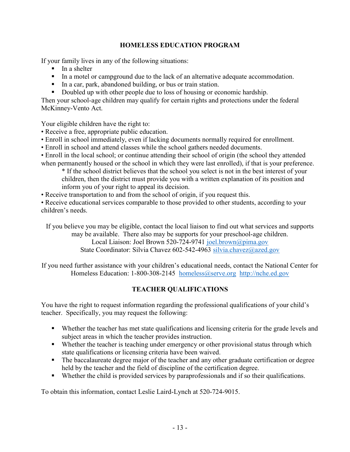#### HOMELESS EDUCATION PROGRAM

If your family lives in any of the following situations:

- In a shelter
- In a motel or campground due to the lack of an alternative adequate accommodation.
- In a car, park, abandoned building, or bus or train station.
- Doubled up with other people due to loss of housing or economic hardship.

Then your school-age children may qualify for certain rights and protections under the federal McKinney-Vento Act.

Your eligible children have the right to:

- Receive a free, appropriate public education.
- Enroll in school immediately, even if lacking documents normally required for enrollment.
- Enroll in school and attend classes while the school gathers needed documents.

• Enroll in the local school; or continue attending their school of origin (the school they attended when permanently housed or the school in which they were last enrolled), if that is your preference.

\* If the school district believes that the school you select is not in the best interest of your children, then the district must provide you with a written explanation of its position and inform you of your right to appeal its decision.

• Receive transportation to and from the school of origin, if you request this.

• Receive educational services comparable to those provided to other students, according to your children's needs.

If you believe you may be eligible, contact the local liaison to find out what services and supports may be available. There also may be supports for your preschool-age children. Local Liaison: Joel Brown 520-724-9741 joel.brown@pima.gov

State Coordinator: Silvia Chavez 602-542-4963 silvia.chavez@azed.gov

If you need further assistance with your children's educational needs, contact the National Center for Homeless Education: 1-800-308-2145 homeless@serve.org http://nche.ed.gov

#### TEACHER QUALIFICATIONS

You have the right to request information regarding the professional qualifications of your child's teacher. Specifically, you may request the following:

- Whether the teacher has met state qualifications and licensing criteria for the grade levels and subject areas in which the teacher provides instruction.
- Whether the teacher is teaching under emergency or other provisional status through which state qualifications or licensing criteria have been waived.
- The baccalaureate degree major of the teacher and any other graduate certification or degree held by the teacher and the field of discipline of the certification degree.
- Whether the child is provided services by paraprofessionals and if so their qualifications.

To obtain this information, contact Leslie Laird-Lynch at 520-724-9015.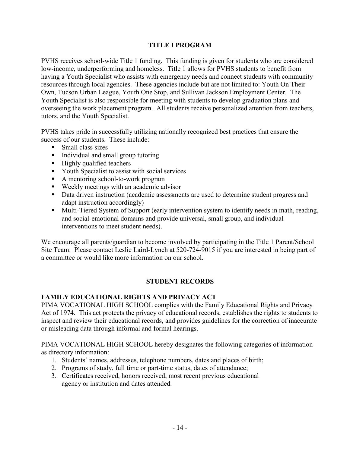#### TITLE I PROGRAM

PVHS receives school-wide Title 1 funding. This funding is given for students who are considered low-income, underperforming and homeless. Title 1 allows for PVHS students to benefit from having a Youth Specialist who assists with emergency needs and connect students with community resources through local agencies. These agencies include but are not limited to: Youth On Their Own, Tucson Urban League, Youth One Stop, and Sullivan Jackson Employment Center. The Youth Specialist is also responsible for meeting with students to develop graduation plans and overseeing the work placement program. All students receive personalized attention from teachers, tutors, and the Youth Specialist.

PVHS takes pride in successfully utilizing nationally recognized best practices that ensure the success of our students. These include:

- $\blacksquare$  Small class sizes
- **I** Individual and small group tutoring
- $\blacksquare$  Highly qualified teachers
- **Text** Youth Specialist to assist with social services
- A mentoring school-to-work program
- Weekly meetings with an academic advisor
- Data driven instruction (academic assessments are used to determine student progress and adapt instruction accordingly)
- Multi-Tiered System of Support (early intervention system to identify needs in math, reading, and social-emotional domains and provide universal, small group, and individual interventions to meet student needs).

We encourage all parents/guardian to become involved by participating in the Title 1 Parent/School Site Team. Please contact Leslie Laird-Lynch at 520-724-9015 if you are interested in being part of a committee or would like more information on our school.

#### STUDENT RECORDS

#### FAMILY EDUCATIONAL RIGHTS AND PRIVACY ACT

PIMA VOCATIONAL HIGH SCHOOL complies with the Family Educational Rights and Privacy Act of 1974. This act protects the privacy of educational records, establishes the rights to students to inspect and review their educational records, and provides guidelines for the correction of inaccurate or misleading data through informal and formal hearings.

PIMA VOCATIONAL HIGH SCHOOL hereby designates the following categories of information as directory information:

- 1. Students' names, addresses, telephone numbers, dates and places of birth;
- 2. Programs of study, full time or part-time status, dates of attendance;
- 3. Certificates received, honors received, most recent previous educational agency or institution and dates attended.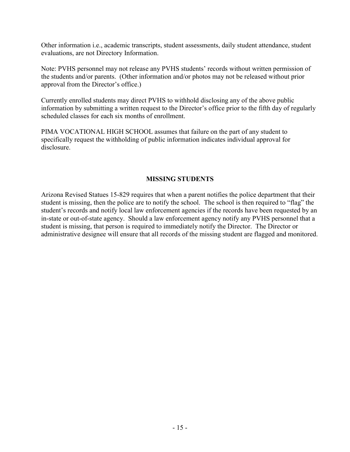Other information i.e., academic transcripts, student assessments, daily student attendance, student evaluations, are not Directory Information.

Note: PVHS personnel may not release any PVHS students' records without written permission of the students and/or parents. (Other information and/or photos may not be released without prior approval from the Director's office.)

Currently enrolled students may direct PVHS to withhold disclosing any of the above public information by submitting a written request to the Director's office prior to the fifth day of regularly scheduled classes for each six months of enrollment.

PIMA VOCATIONAL HIGH SCHOOL assumes that failure on the part of any student to specifically request the withholding of public information indicates individual approval for disclosure.

#### MISSING STUDENTS

Arizona Revised Statues 15-829 requires that when a parent notifies the police department that their student is missing, then the police are to notify the school. The school is then required to "flag" the student's records and notify local law enforcement agencies if the records have been requested by an in-state or out-of-state agency. Should a law enforcement agency notify any PVHS personnel that a student is missing, that person is required to immediately notify the Director. The Director or administrative designee will ensure that all records of the missing student are flagged and monitored.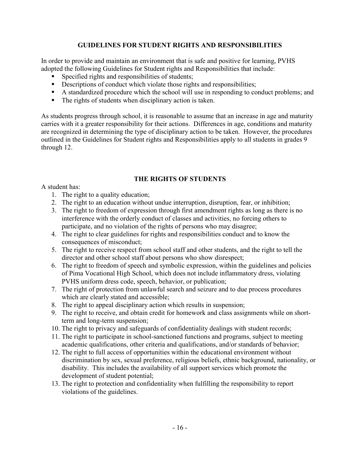#### GUIDELINES FOR STUDENT RIGHTS AND RESPONSIBILITIES

In order to provide and maintain an environment that is safe and positive for learning, PVHS adopted the following Guidelines for Student rights and Responsibilities that include:

- Specified rights and responsibilities of students;
- Descriptions of conduct which violate those rights and responsibilities;
- A standardized procedure which the school will use in responding to conduct problems; and
- The rights of students when disciplinary action is taken.

As students progress through school, it is reasonable to assume that an increase in age and maturity carries with it a greater responsibility for their actions. Differences in age, conditions and maturity are recognized in determining the type of disciplinary action to be taken. However, the procedures outlined in the Guidelines for Student rights and Responsibilities apply to all students in grades 9 through 12.

#### THE RIGHTS OF STUDENTS

A student has:

- 1. The right to a quality education;
- 2. The right to an education without undue interruption, disruption, fear, or inhibition;
- 3. The right to freedom of expression through first amendment rights as long as there is no interference with the orderly conduct of classes and activities, no forcing others to participate, and no violation of the rights of persons who may disagree;
- 4. The right to clear guidelines for rights and responsibilities conduct and to know the consequences of misconduct;
- 5. The right to receive respect from school staff and other students, and the right to tell the director and other school staff about persons who show disrespect;
- 6. The right to freedom of speech and symbolic expression, within the guidelines and policies of Pima Vocational High School, which does not include inflammatory dress, violating PVHS uniform dress code, speech, behavior, or publication;
- 7. The right of protection from unlawful search and seizure and to due process procedures which are clearly stated and accessible;
- 8. The right to appeal disciplinary action which results in suspension;
- 9. The right to receive, and obtain credit for homework and class assignments while on shortterm and long-term suspension;
- 10. The right to privacy and safeguards of confidentiality dealings with student records;
- 11. The right to participate in school-sanctioned functions and programs, subject to meeting academic qualifications, other criteria and qualifications, and/or standards of behavior;
- 12. The right to full access of opportunities within the educational environment without discrimination by sex, sexual preference, religious beliefs, ethnic background, nationality, or disability. This includes the availability of all support services which promote the development of student potential;
- 13. The right to protection and confidentiality when fulfilling the responsibility to report violations of the guidelines.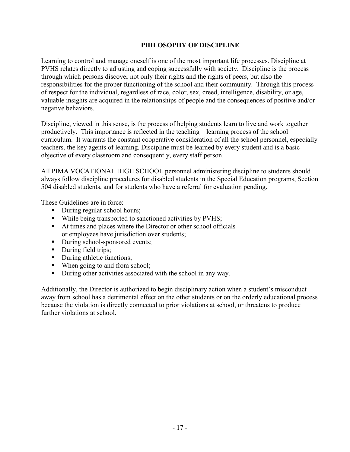#### PHILOSOPHY OF DISCIPLINE

Learning to control and manage oneself is one of the most important life processes. Discipline at PVHS relates directly to adjusting and coping successfully with society. Discipline is the process through which persons discover not only their rights and the rights of peers, but also the responsibilities for the proper functioning of the school and their community. Through this process of respect for the individual, regardless of race, color, sex, creed, intelligence, disability, or age, valuable insights are acquired in the relationships of people and the consequences of positive and/or negative behaviors.

Discipline, viewed in this sense, is the process of helping students learn to live and work together productively. This importance is reflected in the teaching – learning process of the school curriculum. It warrants the constant cooperative consideration of all the school personnel, especially teachers, the key agents of learning. Discipline must be learned by every student and is a basic objective of every classroom and consequently, every staff person.

All PIMA VOCATIONAL HIGH SCHOOL personnel administering discipline to students should always follow discipline procedures for disabled students in the Special Education programs, Section 504 disabled students, and for students who have a referral for evaluation pending.

These Guidelines are in force:

- During regular school hours;
- While being transported to sanctioned activities by PVHS;
- At times and places where the Director or other school officials or employees have jurisdiction over students;
- During school-sponsored events;
- During field trips;
- During athletic functions;
- When going to and from school;
- During other activities associated with the school in any way.

Additionally, the Director is authorized to begin disciplinary action when a student's misconduct away from school has a detrimental effect on the other students or on the orderly educational process because the violation is directly connected to prior violations at school, or threatens to produce further violations at school.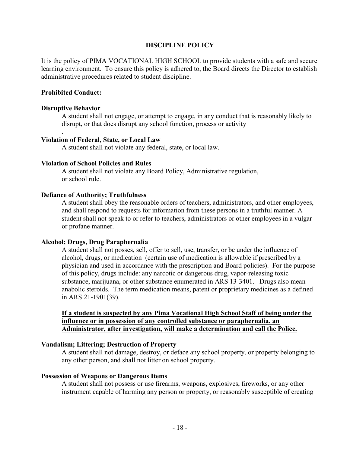#### DISCIPLINE POLICY

It is the policy of PIMA VOCATIONAL HIGH SCHOOL to provide students with a safe and secure learning environment. To ensure this policy is adhered to, the Board directs the Director to establish administrative procedures related to student discipline.

#### Prohibited Conduct:

#### Disruptive Behavior

.

A student shall not engage, or attempt to engage, in any conduct that is reasonably likely to disrupt, or that does disrupt any school function, process or activity

#### Violation of Federal, State, or Local Law

A student shall not violate any federal, state, or local law.

#### Violation of School Policies and Rules

A student shall not violate any Board Policy, Administrative regulation, or school rule.

#### Defiance of Authority; Truthfulness

A student shall obey the reasonable orders of teachers, administrators, and other employees, and shall respond to requests for information from these persons in a truthful manner. A student shall not speak to or refer to teachers, administrators or other employees in a vulgar or profane manner.

#### Alcohol; Drugs, Drug Paraphernalia

A student shall not posses, sell, offer to sell, use, transfer, or be under the influence of alcohol, drugs, or medication (certain use of medication is allowable if prescribed by a physician and used in accordance with the prescription and Board policies). For the purpose of this policy, drugs include: any narcotic or dangerous drug, vapor-releasing toxic substance, marijuana, or other substance enumerated in ARS 13-3401. Drugs also mean anabolic steroids. The term medication means, patent or proprietary medicines as a defined in ARS 21-1901(39).

If a student is suspected by any Pima Vocational High School Staff of being under the influence or in possession of any controlled substance or paraphernalia, an Administrator, after investigation, will make a determination and call the Police.

#### Vandalism; Littering; Destruction of Property

A student shall not damage, destroy, or deface any school property, or property belonging to any other person, and shall not litter on school property.

#### Possession of Weapons or Dangerous Items

A student shall not possess or use firearms, weapons, explosives, fireworks, or any other instrument capable of harming any person or property, or reasonably susceptible of creating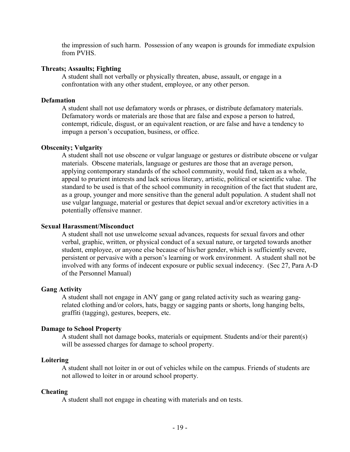the impression of such harm. Possession of any weapon is grounds for immediate expulsion from PVHS.

#### Threats; Assaults; Fighting

A student shall not verbally or physically threaten, abuse, assault, or engage in a confrontation with any other student, employee, or any other person.

#### Defamation

A student shall not use defamatory words or phrases, or distribute defamatory materials. Defamatory words or materials are those that are false and expose a person to hatred, contempt, ridicule, disgust, or an equivalent reaction, or are false and have a tendency to impugn a person's occupation, business, or office.

#### Obscenity; Vulgarity

A student shall not use obscene or vulgar language or gestures or distribute obscene or vulgar materials. Obscene materials, language or gestures are those that an average person, applying contemporary standards of the school community, would find, taken as a whole, appeal to prurient interests and lack serious literary, artistic, political or scientific value. The standard to be used is that of the school community in recognition of the fact that student are, as a group, younger and more sensitive than the general adult population. A student shall not use vulgar language, material or gestures that depict sexual and/or excretory activities in a potentially offensive manner.

#### Sexual Harassment/Misconduct

A student shall not use unwelcome sexual advances, requests for sexual favors and other verbal, graphic, written, or physical conduct of a sexual nature, or targeted towards another student, employee, or anyone else because of his/her gender, which is sufficiently severe, persistent or pervasive with a person's learning or work environment. A student shall not be involved with any forms of indecent exposure or public sexual indecency. (Sec 27, Para A-D of the Personnel Manual)

#### Gang Activity

A student shall not engage in ANY gang or gang related activity such as wearing gangrelated clothing and/or colors, hats, baggy or sagging pants or shorts, long hanging belts, graffiti (tagging), gestures, beepers, etc.

#### Damage to School Property

A student shall not damage books, materials or equipment. Students and/or their parent(s) will be assessed charges for damage to school property.

#### Loitering

A student shall not loiter in or out of vehicles while on the campus. Friends of students are not allowed to loiter in or around school property.

#### Cheating

A student shall not engage in cheating with materials and on tests.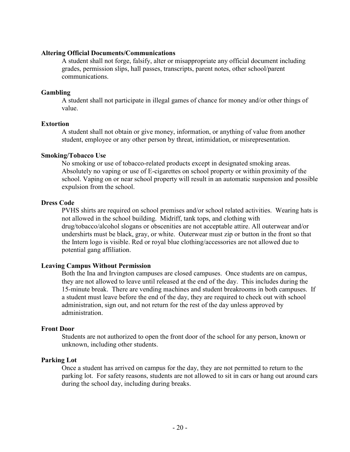#### Altering Official Documents/Communications

A student shall not forge, falsify, alter or misappropriate any official document including grades, permission slips, hall passes, transcripts, parent notes, other school/parent communications.

#### Gambling

A student shall not participate in illegal games of chance for money and/or other things of value.

#### Extortion

A student shall not obtain or give money, information, or anything of value from another student, employee or any other person by threat, intimidation, or misrepresentation.

#### Smoking/Tobacco Use

No smoking or use of tobacco-related products except in designated smoking areas. Absolutely no vaping or use of E-cigarettes on school property or within proximity of the school. Vaping on or near school property will result in an automatic suspension and possible expulsion from the school.

#### Dress Code

PVHS shirts are required on school premises and/or school related activities. Wearing hats is not allowed in the school building. Midriff, tank tops, and clothing with drug/tobacco/alcohol slogans or obscenities are not acceptable attire. All outerwear and/or undershirts must be black, gray, or white. Outerwear must zip or button in the front so that the Intern logo is visible. Red or royal blue clothing/accessories are not allowed due to potential gang affiliation.

#### Leaving Campus Without Permission

Both the Ina and Irvington campuses are closed campuses. Once students are on campus, they are not allowed to leave until released at the end of the day. This includes during the 15-minute break. There are vending machines and student breakrooms in both campuses. If a student must leave before the end of the day, they are required to check out with school administration, sign out, and not return for the rest of the day unless approved by administration.

#### Front Door

Students are not authorized to open the front door of the school for any person, known or unknown, including other students.

#### Parking Lot

Once a student has arrived on campus for the day, they are not permitted to return to the parking lot. For safety reasons, students are not allowed to sit in cars or hang out around cars during the school day, including during breaks.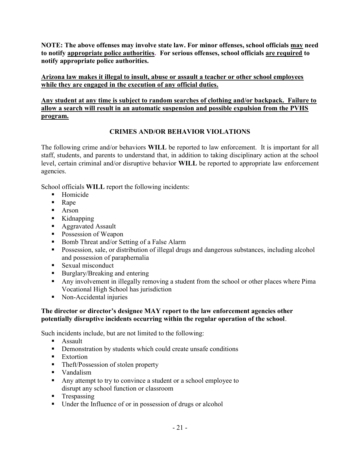NOTE: The above offenses may involve state law. For minor offenses, school officials may need to notify appropriate police authorities. For serious offenses, school officials are required to notify appropriate police authorities.

Arizona law makes it illegal to insult, abuse or assault a teacher or other school employees while they are engaged in the execution of any official duties.

#### Any student at any time is subject to random searches of clothing and/or backpack. Failure to allow a search will result in an automatic suspension and possible expulsion from the PVHS program.

#### CRIMES AND/OR BEHAVIOR VIOLATIONS

The following crime and/or behaviors WILL be reported to law enforcement. It is important for all staff, students, and parents to understand that, in addition to taking disciplinary action at the school level, certain criminal and/or disruptive behavior WILL be reported to appropriate law enforcement agencies.

School officials WILL report the following incidents:

- **Homicide**
- **Rape**
- **Arson**
- Kidnapping
- **Aggravated Assault**
- Possession of Weapon
- Bomb Threat and/or Setting of a False Alarm
- **Possession, sale, or distribution of illegal drugs and dangerous substances, including alcohol** and possession of paraphernalia
- Sexual misconduct
- Burglary/Breaking and entering
- Any involvement in illegally removing a student from the school or other places where Pima Vocational High School has jurisdiction
- Non-Accidental injuries

#### The director or director's designee MAY report to the law enforcement agencies other potentially disruptive incidents occurring within the regular operation of the school.

Such incidents include, but are not limited to the following:

- **Assault**
- **•** Demonstration by students which could create unsafe conditions
- **Extortion**
- Theft/Possession of stolen property
- **vandalism**
- Any attempt to try to convince a student or a school employee to disrupt any school function or classroom
- **Trespassing**
- Under the Influence of or in possession of drugs or alcohol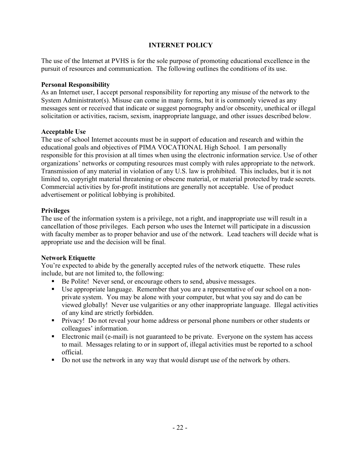#### INTERNET POLICY

The use of the Internet at PVHS is for the sole purpose of promoting educational excellence in the pursuit of resources and communication. The following outlines the conditions of its use.

#### Personal Responsibility

As an Internet user, I accept personal responsibility for reporting any misuse of the network to the System Administrator(s). Misuse can come in many forms, but it is commonly viewed as any messages sent or received that indicate or suggest pornography and/or obscenity, unethical or illegal solicitation or activities, racism, sexism, inappropriate language, and other issues described below.

#### Acceptable Use

The use of school Internet accounts must be in support of education and research and within the educational goals and objectives of PIMA VOCATIONAL High School. I am personally responsible for this provision at all times when using the electronic information service. Use of other organizations' networks or computing resources must comply with rules appropriate to the network. Transmission of any material in violation of any U.S. law is prohibited. This includes, but it is not limited to, copyright material threatening or obscene material, or material protected by trade secrets. Commercial activities by for-profit institutions are generally not acceptable. Use of product advertisement or political lobbying is prohibited.

#### Privileges

The use of the information system is a privilege, not a right, and inappropriate use will result in a cancellation of those privileges. Each person who uses the Internet will participate in a discussion with faculty member as to proper behavior and use of the network. Lead teachers will decide what is appropriate use and the decision will be final.

#### Network Etiquette

You're expected to abide by the generally accepted rules of the network etiquette. These rules include, but are not limited to, the following:

- Be Polite! Never send, or encourage others to send, abusive messages.
- Use appropriate language. Remember that you are a representative of our school on a nonprivate system. You may be alone with your computer, but what you say and do can be viewed globally! Never use vulgarities or any other inappropriate language. Illegal activities of any kind are strictly forbidden.
- **Privacy!** Do not reveal your home address or personal phone numbers or other students or colleagues' information.
- Electronic mail (e-mail) is not guaranteed to be private. Everyone on the system has access to mail. Messages relating to or in support of, illegal activities must be reported to a school official.
- Do not use the network in any way that would disrupt use of the network by others.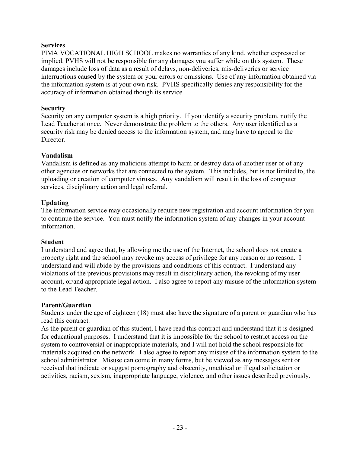#### Services

PIMA VOCATIONAL HIGH SCHOOL makes no warranties of any kind, whether expressed or implied. PVHS will not be responsible for any damages you suffer while on this system. These damages include loss of data as a result of delays, non-deliveries, mis-deliveries or service interruptions caused by the system or your errors or omissions. Use of any information obtained via the information system is at your own risk. PVHS specifically denies any responsibility for the accuracy of information obtained though its service.

#### **Security**

Security on any computer system is a high priority. If you identify a security problem, notify the Lead Teacher at once. Never demonstrate the problem to the others. Any user identified as a security risk may be denied access to the information system, and may have to appeal to the Director.

#### Vandalism

Vandalism is defined as any malicious attempt to harm or destroy data of another user or of any other agencies or networks that are connected to the system. This includes, but is not limited to, the uploading or creation of computer viruses. Any vandalism will result in the loss of computer services, disciplinary action and legal referral.

#### Updating

The information service may occasionally require new registration and account information for you to continue the service. You must notify the information system of any changes in your account information.

#### Student

I understand and agree that, by allowing me the use of the Internet, the school does not create a property right and the school may revoke my access of privilege for any reason or no reason. I understand and will abide by the provisions and conditions of this contract. I understand any violations of the previous provisions may result in disciplinary action, the revoking of my user account, or/and appropriate legal action. I also agree to report any misuse of the information system to the Lead Teacher.

#### Parent/Guardian

Students under the age of eighteen (18) must also have the signature of a parent or guardian who has read this contract.

As the parent or guardian of this student, I have read this contract and understand that it is designed for educational purposes. I understand that it is impossible for the school to restrict access on the system to controversial or inappropriate materials, and I will not hold the school responsible for materials acquired on the network. I also agree to report any misuse of the information system to the school administrator. Misuse can come in many forms, but be viewed as any messages sent or received that indicate or suggest pornography and obscenity, unethical or illegal solicitation or activities, racism, sexism, inappropriate language, violence, and other issues described previously.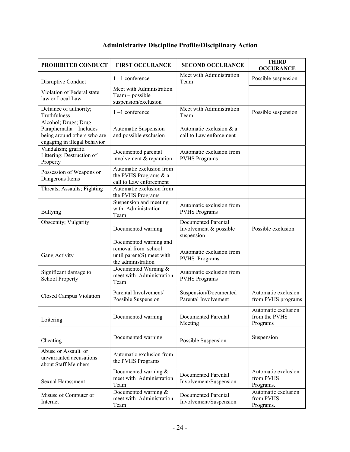| PROHIBITED CONDUCT                                                                                              | <b>FIRST OCCURANCE</b>                                                                           | <b>SECOND OCCURANCE</b>                                            | <b>THIRD</b><br><b>OCCURANCE</b>                 |
|-----------------------------------------------------------------------------------------------------------------|--------------------------------------------------------------------------------------------------|--------------------------------------------------------------------|--------------------------------------------------|
| Disruptive Conduct                                                                                              | $1 - 1$ conference                                                                               | Meet with Administration<br>Team                                   | Possible suspension                              |
| Violation of Federal state<br>law or Local Law                                                                  | Meet with Administration<br>Team - possible<br>suspension/exclusion                              |                                                                    |                                                  |
| Defiance of authority;<br>Truthfulness                                                                          | $1 - 1$ conference                                                                               | Meet with Administration<br>Team                                   | Possible suspension                              |
| Alcohol; Drugs; Drug<br>Paraphernalia - Includes<br>being around others who are<br>engaging in illegal behavior | Automatic Suspension<br>and possible exclusion                                                   | Automatic exclusion & a<br>call to Law enforcement                 |                                                  |
| Vandalism; graffiti<br>Littering; Destruction of<br>Property                                                    | Documented parental<br>involvement & reparation                                                  | Automatic exclusion from<br><b>PVHS Programs</b>                   |                                                  |
| Possession of Weapons or<br>Dangerous Items                                                                     | Automatic exclusion from<br>the PVHS Programs & a<br>call to Law enforcement                     |                                                                    |                                                  |
| Threats; Assaults; Fighting                                                                                     | Automatic exclusion from<br>the PVHS Programs                                                    |                                                                    |                                                  |
| <b>Bullying</b>                                                                                                 | Suspension and meeting<br>with Administration<br>Team                                            | Automatic exclusion from<br><b>PVHS Programs</b>                   |                                                  |
| Obscenity; Vulgarity                                                                                            | Documented warning                                                                               | <b>Documented Parental</b><br>Involvement & possible<br>suspension | Possible exclusion                               |
| Gang Activity                                                                                                   | Documented warning and<br>removal from school<br>until parent(S) meet with<br>the administration | Automatic exclusion from<br><b>PVHS</b> Programs                   |                                                  |
| Significant damage to<br><b>School Property</b>                                                                 | Documented Warning &<br>meet with Administration<br>Team                                         | Automatic exclusion from<br><b>PVHS Programs</b>                   |                                                  |
| Closed Campus Violation                                                                                         | Parental Involvement/<br>Possible Suspension                                                     | Suspension/Documented<br>Parental Involvement                      | Automatic exclusion<br>from PVHS programs        |
| Loitering                                                                                                       | Documented warning                                                                               | <b>Documented Parental</b><br>Meeting                              | Automatic exclusion<br>from the PVHS<br>Programs |
| Cheating                                                                                                        | Documented warning                                                                               | Possible Suspension                                                | Suspension                                       |
| Abuse or Assault or<br>unwarranted accusations<br>about Staff Members                                           | Automatic exclusion from<br>the PVHS Programs                                                    |                                                                    |                                                  |
| Sexual Harassment                                                                                               | Documented warning &<br>meet with Administration<br>Team                                         | <b>Documented Parental</b><br>Involvement/Suspension               | Automatic exclusion<br>from PVHS<br>Programs.    |
| Misuse of Computer or<br>Internet                                                                               | Documented warning &<br>meet with Administration<br>Team                                         | <b>Documented Parental</b><br>Involvement/Suspension               | Automatic exclusion<br>from PVHS<br>Programs.    |

### Administrative Discipline Profile/Disciplinary Action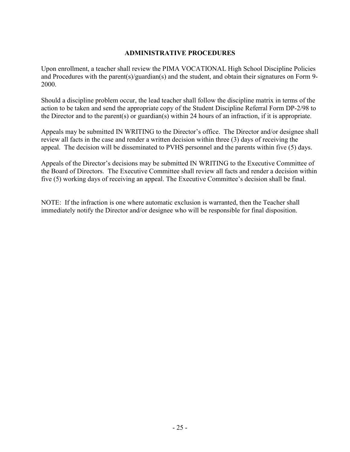#### ADMINISTRATIVE PROCEDURES

Upon enrollment, a teacher shall review the PIMA VOCATIONAL High School Discipline Policies and Procedures with the parent(s)/guardian(s) and the student, and obtain their signatures on Form 9- 2000.

Should a discipline problem occur, the lead teacher shall follow the discipline matrix in terms of the action to be taken and send the appropriate copy of the Student Discipline Referral Form DP-2/98 to the Director and to the parent(s) or guardian(s) within 24 hours of an infraction, if it is appropriate.

Appeals may be submitted IN WRITING to the Director's office. The Director and/or designee shall review all facts in the case and render a written decision within three (3) days of receiving the appeal. The decision will be disseminated to PVHS personnel and the parents within five (5) days.

Appeals of the Director's decisions may be submitted IN WRITING to the Executive Committee of the Board of Directors. The Executive Committee shall review all facts and render a decision within five (5) working days of receiving an appeal. The Executive Committee's decision shall be final.

NOTE: If the infraction is one where automatic exclusion is warranted, then the Teacher shall immediately notify the Director and/or designee who will be responsible for final disposition.